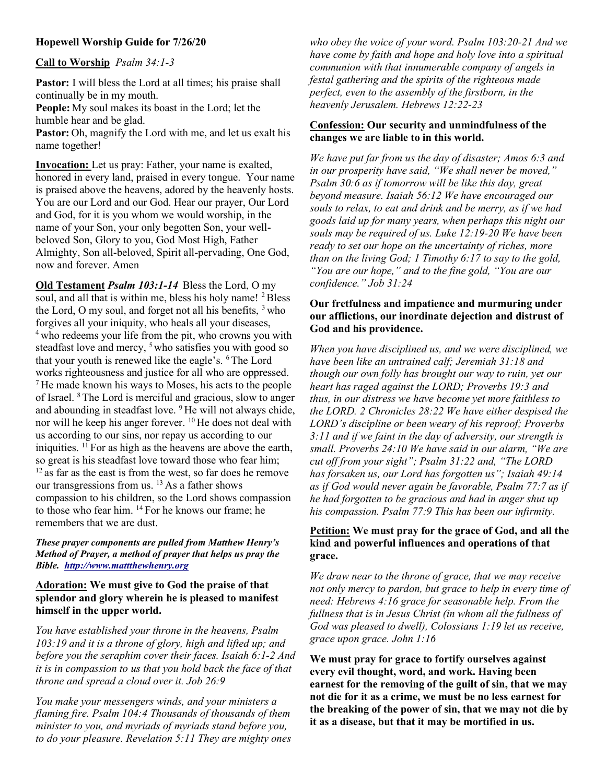# Hopewell Worship Guide for 7/26/20

### Call to Worship Psalm 34:1-3

Pastor: I will bless the Lord at all times; his praise shall continually be in my mouth. People: My soul makes its boast in the Lord; let the humble hear and be glad. Pastor: Oh, magnify the Lord with me, and let us exalt his name together!

Invocation: Let us pray: Father, your name is exalted, honored in every land, praised in every tongue. Your name is praised above the heavens, adored by the heavenly hosts. You are our Lord and our God. Hear our prayer, Our Lord and God, for it is you whom we would worship, in the name of your Son, your only begotten Son, your wellbeloved Son, Glory to you, God Most High, Father Almighty, Son all-beloved, Spirit all-pervading, One God, now and forever. Amen

Old Testament Psalm 103:1-14 Bless the Lord, O my soul, and all that is within me, bless his holy name! <sup>2</sup>Bless the Lord, O my soul, and forget not all his benefits, <sup>3</sup> who forgives all your iniquity, who heals all your diseases, <sup>4</sup> who redeems your life from the pit, who crowns you with steadfast love and mercy, <sup>5</sup> who satisfies you with good so that your youth is renewed like the eagle's. <sup>6</sup>The Lord works righteousness and justice for all who are oppressed.  $<sup>7</sup>$  He made known his ways to Moses, his acts to the people</sup> of Israel. <sup>8</sup>The Lord is merciful and gracious, slow to anger and abounding in steadfast love. <sup>9</sup>He will not always chide, nor will he keep his anger forever.  $^{10}$  He does not deal with us according to our sins, nor repay us according to our iniquities.  $\mathbf{1}^{\mathrm{T}}$  For as high as the heavens are above the earth, so great is his steadfast love toward those who fear him;  $12$  as far as the east is from the west, so far does he remove our transgressions from us.  $^{13}$  As a father shows compassion to his children, so the Lord shows compassion to those who fear him. <sup>14</sup> For he knows our frame; he remembers that we are dust.

#### These prayer components are pulled from Matthew Henry's Method of Prayer, a method of prayer that helps us pray the Bible. http://www.mattthewhenry.org

### Adoration: We must give to God the praise of that splendor and glory wherein he is pleased to manifest himself in the upper world.

You have established your throne in the heavens, Psalm 103:19 and it is a throne of glory, high and lifted up; and before you the seraphim cover their faces. Isaiah 6:1-2 And it is in compassion to us that you hold back the face of that throne and spread a cloud over it. Job 26:9

You make your messengers winds, and your ministers a flaming fire. Psalm 104:4 Thousands of thousands of them minister to you, and myriads of myriads stand before you, to do your pleasure. Revelation 5:11 They are mighty ones

who obey the voice of your word. Psalm 103:20-21 And we have come by faith and hope and holy love into a spiritual communion with that innumerable company of angels in festal gathering and the spirits of the righteous made perfect, even to the assembly of the firstborn, in the heavenly Jerusalem. Hebrews 12:22-23

# Confession: Our security and unmindfulness of the changes we are liable to in this world.

We have put far from us the day of disaster; Amos 6:3 and in our prosperity have said, "We shall never be moved," Psalm 30:6 as if tomorrow will be like this day, great beyond measure. Isaiah 56:12 We have encouraged our souls to relax, to eat and drink and be merry, as if we had goods laid up for many years, when perhaps this night our souls may be required of us. Luke 12:19-20 We have been ready to set our hope on the uncertainty of riches, more than on the living God; 1 Timothy 6:17 to say to the gold, "You are our hope," and to the fine gold, "You are our confidence." Job 31:24

### Our fretfulness and impatience and murmuring under our afflictions, our inordinate dejection and distrust of God and his providence.

When you have disciplined us, and we were disciplined, we have been like an untrained calf; Jeremiah 31:18 and though our own folly has brought our way to ruin, yet our heart has raged against the LORD; Proverbs 19:3 and thus, in our distress we have become yet more faithless to the LORD. 2 Chronicles 28:22 We have either despised the LORD's discipline or been weary of his reproof; Proverbs 3:11 and if we faint in the day of adversity, our strength is small. Proverbs 24:10 We have said in our alarm, "We are cut off from your sight"; Psalm 31:22 and, "The LORD has forsaken us, our Lord has forgotten us"; Isaiah 49:14 as if God would never again be favorable, Psalm 77:7 as if he had forgotten to be gracious and had in anger shut up his compassion. Psalm 77:9 This has been our infirmity.

## Petition: We must pray for the grace of God, and all the kind and powerful influences and operations of that grace.

We draw near to the throne of grace, that we may receive not only mercy to pardon, but grace to help in every time of need: Hebrews 4:16 grace for seasonable help. From the fullness that is in Jesus Christ (in whom all the fullness of God was pleased to dwell), Colossians 1:19 let us receive, grace upon grace. John 1:16

We must pray for grace to fortify ourselves against every evil thought, word, and work. Having been earnest for the removing of the guilt of sin, that we may not die for it as a crime, we must be no less earnest for the breaking of the power of sin, that we may not die by it as a disease, but that it may be mortified in us.